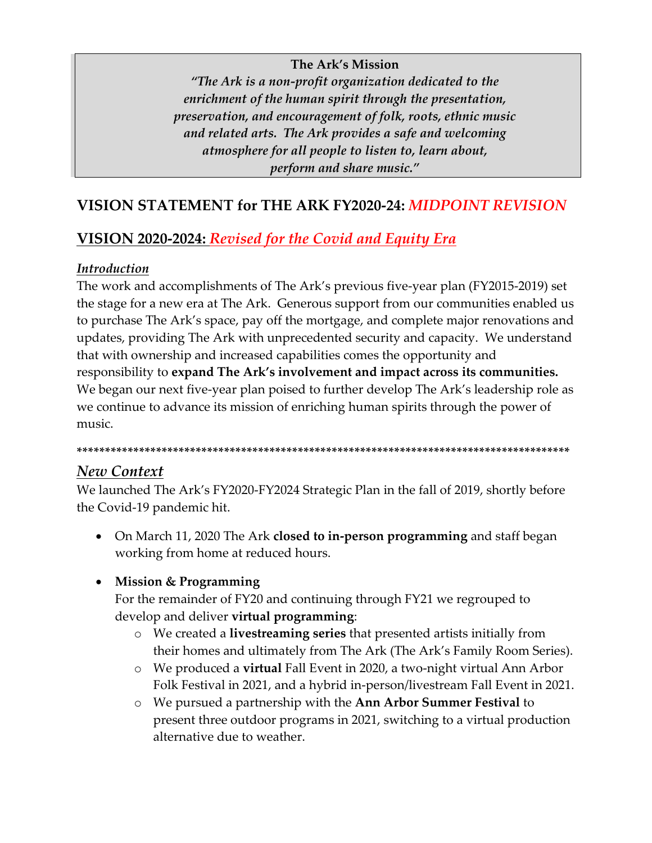#### **The Ark's Mission**

*"The Ark is a non-profit organization dedicated to the enrichment of the human spirit through the presentation, preservation, and encouragement of folk, roots, ethnic music and related arts. The Ark provides a safe and welcoming atmosphere for all people to listen to, learn about, perform and share music."*

# **VISION STATEMENT for THE ARK FY2020-24:** *MIDPOINT REVISION*

# **VISION 2020-2024:** *Revised for the Covid and Equity Era*

#### *Introduction*

The work and accomplishments of The Ark's previous five-year plan (FY2015-2019) set the stage for a new era at The Ark. Generous support from our communities enabled us to purchase The Ark's space, pay off the mortgage, and complete major renovations and updates, providing The Ark with unprecedented security and capacity. We understand that with ownership and increased capabilities comes the opportunity and responsibility to **expand The Ark's involvement and impact across its communities.**  We began our next five-year plan poised to further develop The Ark's leadership role as we continue to advance its mission of enriching human spirits through the power of music.

**\*\*\*\*\*\*\*\*\*\*\*\*\*\*\*\*\*\*\*\*\*\*\*\*\*\*\*\*\*\*\*\*\*\*\*\*\*\*\*\*\*\*\*\*\*\*\*\*\*\*\*\*\*\*\*\*\*\*\*\*\*\*\*\*\*\*\*\*\*\*\*\*\*\*\*\*\*\*\*\*\*\*\*\*\*\*\***

#### *New Context*

We launched The Ark's FY2020-FY2024 Strategic Plan in the fall of 2019, shortly before the Covid-19 pandemic hit.

• On March 11, 2020 The Ark **closed to in-person programming** and staff began working from home at reduced hours.

#### • **Mission & Programming**

For the remainder of FY20 and continuing through FY21 we regrouped to develop and deliver **virtual programming**:

- o We created a **livestreaming series** that presented artists initially from their homes and ultimately from The Ark (The Ark's Family Room Series).
- o We produced a **virtual** Fall Event in 2020, a two-night virtual Ann Arbor Folk Festival in 2021, and a hybrid in-person/livestream Fall Event in 2021.
- o We pursued a partnership with the **Ann Arbor Summer Festival** to present three outdoor programs in 2021, switching to a virtual production alternative due to weather.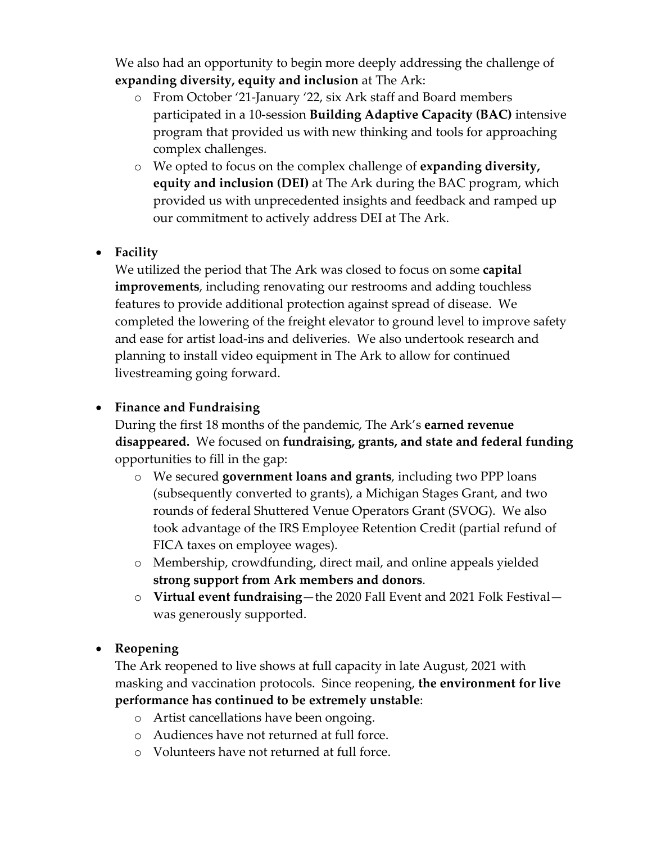We also had an opportunity to begin more deeply addressing the challenge of **expanding diversity, equity and inclusion** at The Ark:

- o From October '21-January '22, six Ark staff and Board members participated in a 10-session **Building Adaptive Capacity (BAC)** intensive program that provided us with new thinking and tools for approaching complex challenges.
- o We opted to focus on the complex challenge of **expanding diversity, equity and inclusion (DEI)** at The Ark during the BAC program, which provided us with unprecedented insights and feedback and ramped up our commitment to actively address DEI at The Ark.

#### • **Facility**

We utilized the period that The Ark was closed to focus on some **capital improvements**, including renovating our restrooms and adding touchless features to provide additional protection against spread of disease. We completed the lowering of the freight elevator to ground level to improve safety and ease for artist load-ins and deliveries. We also undertook research and planning to install video equipment in The Ark to allow for continued livestreaming going forward.

#### • **Finance and Fundraising**

During the first 18 months of the pandemic, The Ark's **earned revenue disappeared.** We focused on **fundraising, grants, and state and federal funding** opportunities to fill in the gap:

- o We secured **government loans and grants**, including two PPP loans (subsequently converted to grants), a Michigan Stages Grant, and two rounds of federal Shuttered Venue Operators Grant (SVOG). We also took advantage of the IRS Employee Retention Credit (partial refund of FICA taxes on employee wages).
- o Membership, crowdfunding, direct mail, and online appeals yielded **strong support from Ark members and donors**.
- o **Virtual event fundraising**—the 2020 Fall Event and 2021 Folk Festival was generously supported.

#### • **Reopening**

The Ark reopened to live shows at full capacity in late August, 2021 with masking and vaccination protocols. Since reopening, **the environment for live performance has continued to be extremely unstable**:

- o Artist cancellations have been ongoing.
- o Audiences have not returned at full force.
- o Volunteers have not returned at full force.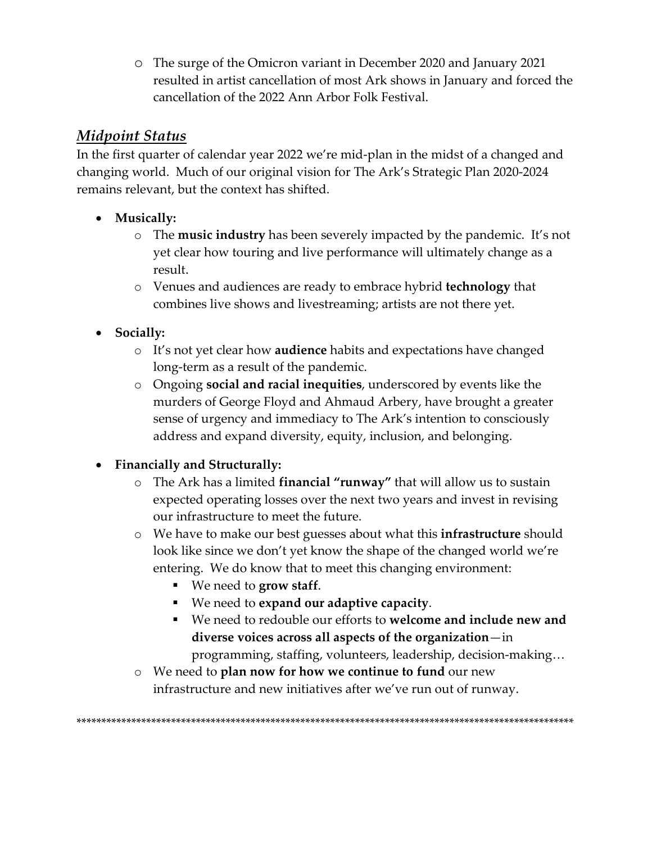○ The surge of the Omicron variant in December 2020 and January 2021 resulted in artist cancellation of most Ark shows in January and forced the cancellation of the 2022 Ann Arbor Folk Festival.

## **Midpoint Status**

In the first quarter of calendar year 2022 we're mid-plan in the midst of a changed and changing world. Much of our original vision for The Ark's Strategic Plan 2020-2024 remains relevant, but the context has shifted.

- Musically:
	- o The **music industry** has been severely impacted by the pandemic. It's not yet clear how touring and live performance will ultimately change as a result.
	- o Venues and audiences are ready to embrace hybrid technology that combines live shows and livestreaming; artists are not there yet.
- Socially:
	- o It's not yet clear how audience habits and expectations have changed long-term as a result of the pandemic.
	- o Ongoing **social and racial inequities**, underscored by events like the murders of George Floyd and Ahmaud Arbery, have brought a greater sense of urgency and immediacy to The Ark's intention to consciously address and expand diversity, equity, inclusion, and belonging.

### • Financially and Structurally:

- $\circ$  The Ark has a limited financial "runway" that will allow us to sustain expected operating losses over the next two years and invest in revising our infrastructure to meet the future.
- o We have to make our best guesses about what this **infrastructure** should look like since we don't yet know the shape of the changed world we're entering. We do know that to meet this changing environment:
	- $\blacksquare$  We need to grow staff.
	- We need to expand our adaptive capacity.
	- We need to redouble our efforts to welcome and include new and diverse voices across all aspects of the organization—in programming, staffing, volunteers, leadership, decision-making...
- $\circ$  We need to plan now for how we continue to fund our new infrastructure and new initiatives after we've run out of runway.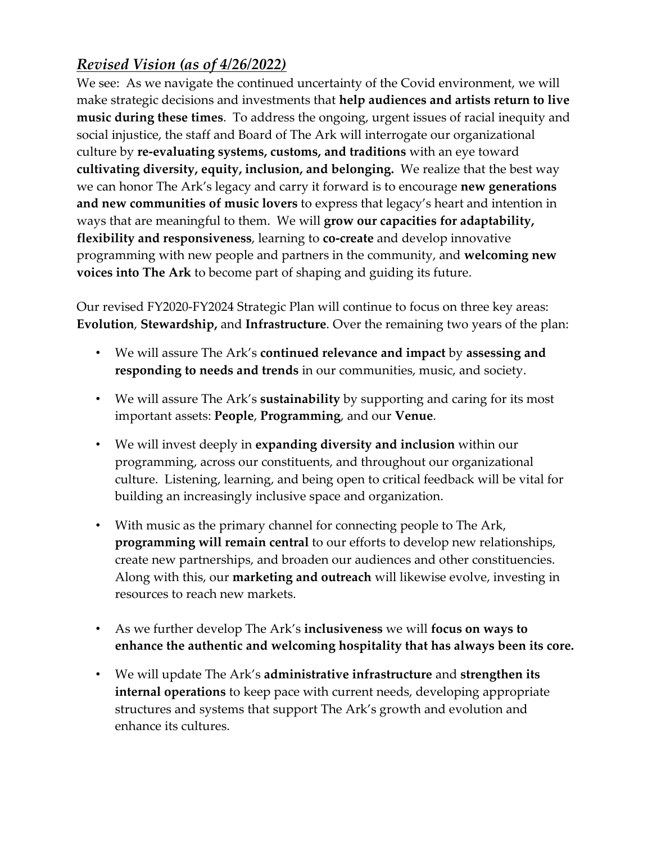# *Revised Vision (as of 4/26/2022)*

We see: As we navigate the continued uncertainty of the Covid environment, we will make strategic decisions and investments that **help audiences and artists return to live music during these times**. To address the ongoing, urgent issues of racial inequity and social injustice, the staff and Board of The Ark will interrogate our organizational culture by **re-evaluating systems, customs, and traditions** with an eye toward **cultivating diversity, equity, inclusion, and belonging.** We realize that the best way we can honor The Ark's legacy and carry it forward is to encourage **new generations and new communities of music lovers** to express that legacy's heart and intention in ways that are meaningful to them.We will **grow our capacities for adaptability, flexibility and responsiveness**, learning to **co-create** and develop innovative programming with new people and partners in the community, and **welcoming new voices into The Ark** to become part of shaping and guiding its future.

Our revised FY2020-FY2024 Strategic Plan will continue to focus on three key areas: **Evolution**, **Stewardship,** and **Infrastructure**. Over the remaining two years of the plan:

- We will assure The Ark's **continued relevance and impact** by **assessing and responding to needs and trends** in our communities, music, and society.
- We will assure The Ark's **sustainability** by supporting and caring for its most important assets: **People**, **Programming**, and our **Venue**.
- We will invest deeply in **expanding diversity and inclusion** within our programming, across our constituents, and throughout our organizational culture. Listening, learning, and being open to critical feedback will be vital for building an increasingly inclusive space and organization.
- With music as the primary channel for connecting people to The Ark, **programming will remain central** to our efforts to develop new relationships, create new partnerships, and broaden our audiences and other constituencies. Along with this, our **marketing and outreach** will likewise evolve, investing in resources to reach new markets.
- As we further develop The Ark's **inclusiveness** we will **focus on ways to enhance the authentic and welcoming hospitality that has always been its core.**
- We will update The Ark's **administrative infrastructure** and **strengthen its internal operations** to keep pace with current needs, developing appropriate structures and systems that support The Ark's growth and evolution and enhance its cultures.